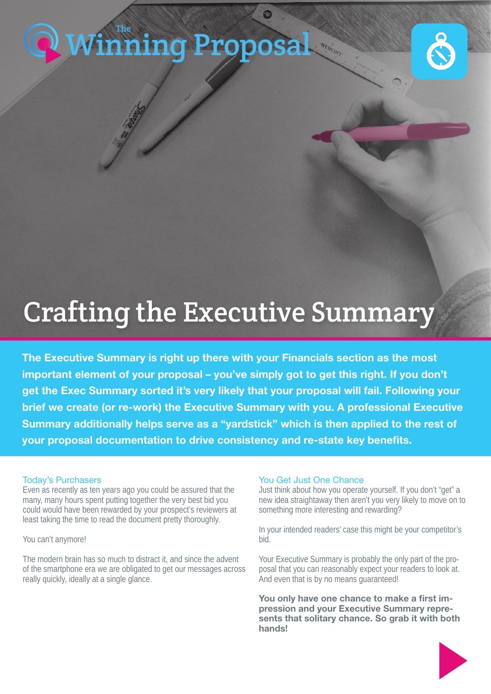# **[Winning Proposal](https://www.thewinningproposal.com)**



## Crafting the Executive Summary

The Executive Summary is right up there with your Financials section as the most important element of your proposal – you've simply got to get this right. If you don't get the Exec Summary sorted it's very likely that your proposal will fail. Following your brief we create (or re-work) the Executive Summary with you. A professional Executive Summary additionally helps serve as a "yardstick" which is then applied to the rest of your proposal documentation to drive consistency and re-state key benefits.

#### Today's Purchasers

Even as recently as ten years ago you could be assured that the many, many hours spent putting together the very best bid you could would have been rewarded by your prospect's reviewers at least taking the time to read the document pretty thoroughly.

You can't anymore!

The modern brain has so much to distract it, and since the advent of the smartphone era we are obligated to get our messages across really quickly, ideally at a single glance.

#### You Get Just One Chance

Just think about how you operate yourself. If you don't "get" a new idea straightaway then aren't you very likely to move on to something more interesting and rewarding?

In your intended readers' case this might be your competitor's bid.

Your Executive Summary is probably the only part of the proposal that you can reasonably expect your readers to look at. And even that is by no means guaranteed!

You only have one chance to make a first impression and your Executive Summary represents that solitary chance. So grab it with both hands!

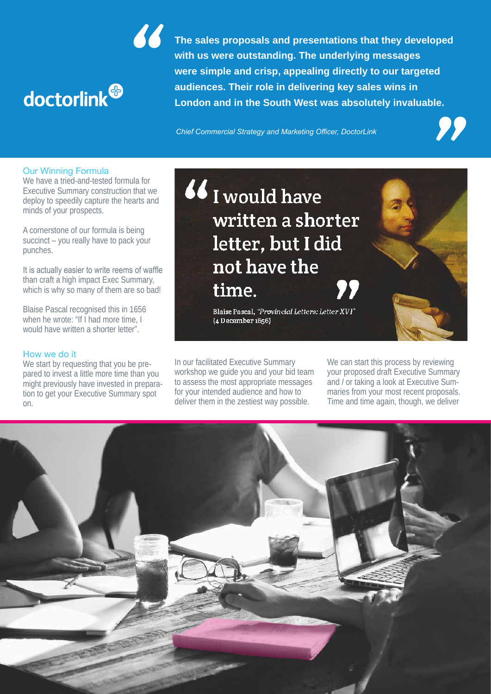

**Strategy and Marketing directly to our targeted<br>
<b>Strategy and Mest was absolutely invaluable.**<br>
The Marketing Officer. DoctorLink **The sales proposals and presentations that they developed with us were outstanding. The underlying messages were simple and crisp, appealing directly to our targeted audiences. Their role in delivering key sales wins in London and in the South West was absolutely invaluable. Example and crisp, appealing directly to our targeted<br>
audiences. Their role in delivering key sales wins in<br>
London and in the South West was absolutely invaluable.<br>
Chief Commercial Strategy and Marketing Officer, Docto** 

Our Winning Formula

We have a tried-and-tested formula for Executive Summary construction that we deploy to speedily capture the hearts and minds of your prospects.

A cornerstone of our formula is being succinct – you really have to pack your punches.

It is actually easier to write reems of waffle than craft a high impact Exec Summary, which is why so many of them are so bad!

Blaise Pascal recognised this in 1656 when he wrote: "If I had more time, I would have written a shorter letter"

#### How we do it

We start by requesting that you be prepared to invest a little more time than you might previously have invested in preparation to get your Executive Summary spot on.

### 66 I would have written a shorter letter, but I did not have the time.

Blaise Pascal, "Provincial Letters: Letter XVI" {4 December 1656}

In our facilitated Executive Summary workshop we guide you and your bid team to assess the most appropriate messages for your intended audience and how to deliver them in the zestiest way possible.

We can start this process by reviewing your proposed draft Executive Summary and / or taking a look at Executive Summaries from your most recent proposals. Time and time again, though, we deliver

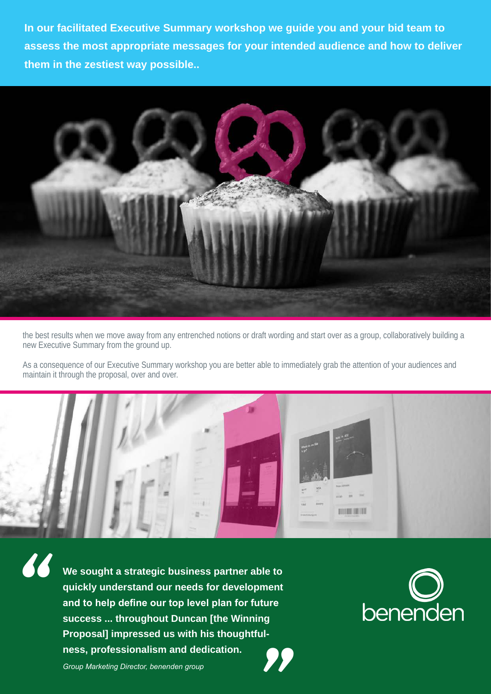**In our facilitated Executive Summary workshop we guide you and your bid team to assess the most appropriate messages for your intended audience and how to deliver them in the zestiest way possible..**



the best results when we move away from any entrenched notions or draft wording and start over as a group, collaboratively building a new Executive Summary from the ground up.

As a consequence of our Executive Summary workshop you are better able to immediately grab the attention of your audiences and maintain it through the proposal, over and over.



**We sought a strategic business partner able to quickly understand our needs for development and to help define our top level plan for future success ... throughout Duncan [the Winning Proposal] impressed us with his thoughtfulness, professionalism and dedication.** and to help define our top level plan for future<br>success ... throughout Duncan [the Winning<br>Proposal] impressed us with his thoughtful-<br>ness, professionalism and dedication.<br>Group Marketing Director, benenden group



*"*